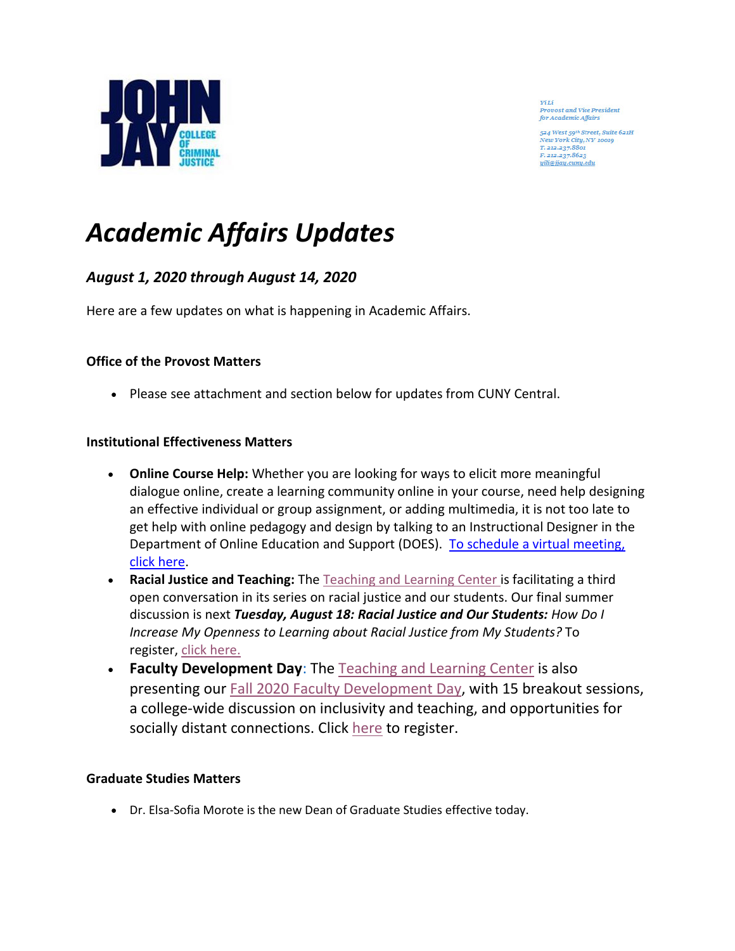

YiLi **Provost and Vice President** for Academic Affair

524 West 59th Street, Suite 621H<br>New York City, NY 10019 T. 212.237.8801 F. 212.237.8623 vili@jiay.cumy.edu

# *Academic Affairs Updates*

# *August 1, 2020 through August 14, 2020*

Here are a few updates on what is happening in Academic Affairs.

# **Office of the Provost Matters**

• Please see attachment and section below for updates from CUNY Central.

## **Institutional Effectiveness Matters**

- **Online Course Help:** Whether you are looking for ways to elicit more meaningful dialogue online, create a learning community online in your course, need help designing an effective individual or group assignment, or adding multimedia, it is not too late to get help with online pedagogy and design by talking to an Instructional Designer in the Department of Online Education and Support (DOES). [To schedule a virtual meeting,](https://www.jjay.cuny.edu/elearning-lab-reservation)  [click here.](https://www.jjay.cuny.edu/elearning-lab-reservation)
- **Racial Justice and Teaching:** The [Teaching and Learning Center](https://www.jjay.cuny.edu/teaching-and-learning-center-tlc) is facilitating a third open conversation in its series on racial justice and our students. Our final summer discussion is next *Tuesday, August 18: Racial Justice and Our Students: How Do I Increase My Openness to Learning about Racial Justice from My Students?* To register, [click here.](https://us02web.zoom.us/meeting/register/tZcqc-6qqTgvEtE5Qsm7n9zQHKs3Bo6QA_Lz)
- **Faculty Development Day**: The [Teaching and Learning Center](https://www.jjay.cuny.edu/teaching-and-learning-center-tlc) is also presenting our [Fall 2020 Faculty Development Day,](https://fdd2017.commons.gc.cuny.edu/) with 15 breakout sessions, a college-wide discussion on inclusivity and teaching, and opportunities for socially distant connections. Click [here](https://doitapps2.jjay.cuny.edu/facultyWorkshop/login.php?tr_id=9) to register.

## **Graduate Studies Matters**

• Dr. Elsa-Sofia Morote is the new Dean of Graduate Studies effective today.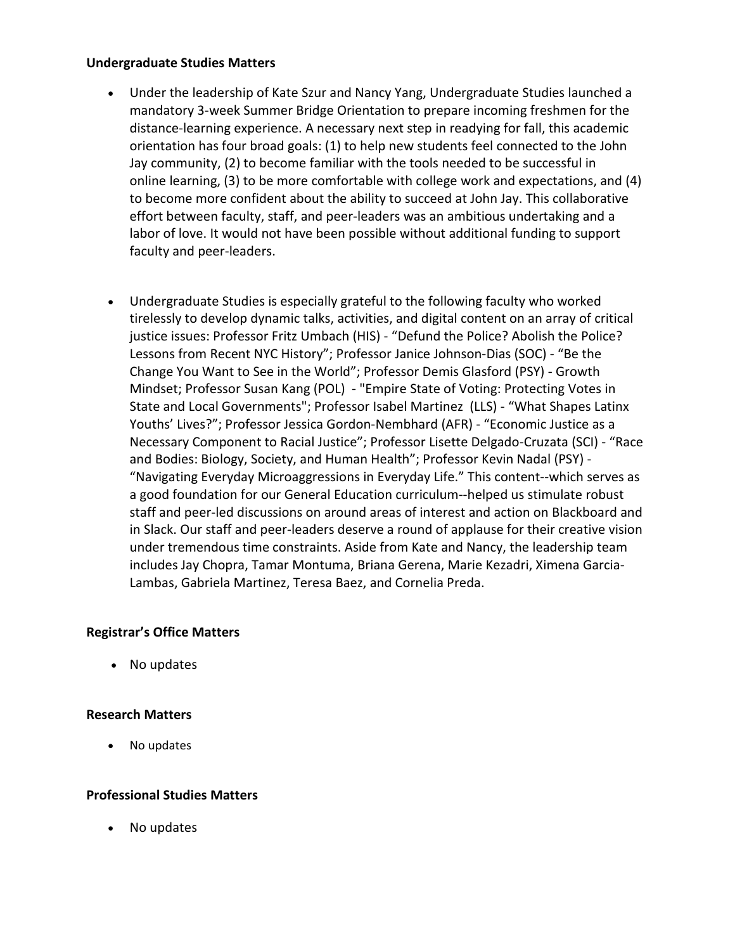#### **Undergraduate Studies Matters**

- Under the leadership of Kate Szur and Nancy Yang, Undergraduate Studies launched a mandatory 3-week Summer Bridge Orientation to prepare incoming freshmen for the distance-learning experience. A necessary next step in readying for fall, this academic orientation has four broad goals: (1) to help new students feel connected to the John Jay community, (2) to become familiar with the tools needed to be successful in online learning, (3) to be more comfortable with college work and expectations, and (4) to become more confident about the ability to succeed at John Jay. This collaborative effort between faculty, staff, and peer-leaders was an ambitious undertaking and a labor of love. It would not have been possible without additional funding to support faculty and peer-leaders.
- Undergraduate Studies is especially grateful to the following faculty who worked tirelessly to develop dynamic talks, activities, and digital content on an array of critical justice issues: Professor Fritz Umbach (HIS) - "Defund the Police? Abolish the Police? Lessons from Recent NYC History"; Professor Janice Johnson-Dias (SOC) - "Be the Change You Want to See in the World"; Professor Demis Glasford (PSY) - Growth Mindset; Professor Susan Kang (POL) - "Empire State of Voting: Protecting Votes in State and Local Governments"; Professor Isabel Martinez (LLS) - "What Shapes Latinx Youths' Lives?"; Professor Jessica Gordon-Nembhard (AFR) - "Economic Justice as a Necessary Component to Racial Justice"; Professor Lisette Delgado-Cruzata (SCI) - "Race and Bodies: Biology, Society, and Human Health"; Professor Kevin Nadal (PSY) - "Navigating Everyday Microaggressions in Everyday Life." This content--which serves as a good foundation for our General Education curriculum--helped us stimulate robust staff and peer-led discussions on around areas of interest and action on Blackboard and in Slack. Our staff and peer-leaders deserve a round of applause for their creative vision under tremendous time constraints. Aside from Kate and Nancy, the leadership team includes Jay Chopra, Tamar Montuma, Briana Gerena, Marie Kezadri, Ximena Garcia-Lambas, Gabriela Martinez, Teresa Baez, and Cornelia Preda.

#### **Registrar's Office Matters**

• No updates

#### **Research Matters**

• No updates

#### **Professional Studies Matters**

• No updates